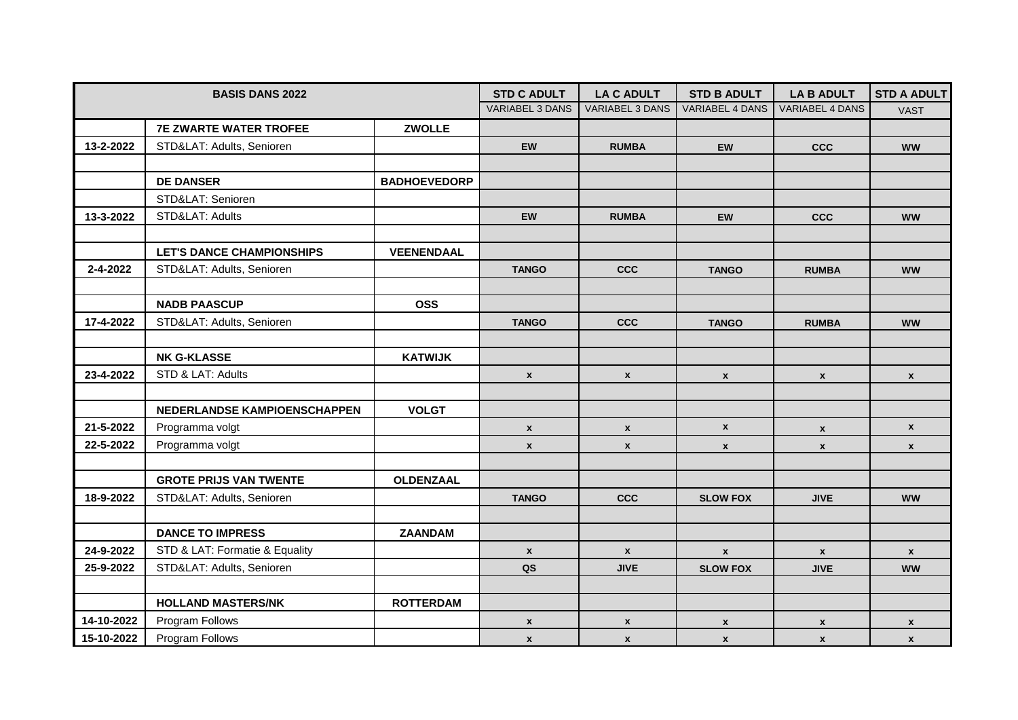| <b>BASIS DANS 2022</b> |                                  |                     | <b>STD C ADULT</b> | <b>LA C ADULT</b>      | <b>STD B ADULT</b>     | <b>LA B ADULT</b>      | <b>STD A ADULT</b> |
|------------------------|----------------------------------|---------------------|--------------------|------------------------|------------------------|------------------------|--------------------|
|                        |                                  |                     | VARIABEL 3 DANS    | <b>VARIABEL 3 DANS</b> | <b>VARIABEL 4 DANS</b> | <b>VARIABEL 4 DANS</b> | <b>VAST</b>        |
|                        | <b>7E ZWARTE WATER TROFEE</b>    | <b>ZWOLLE</b>       |                    |                        |                        |                        |                    |
| 13-2-2022              | STD&LAT: Adults, Senioren        |                     | EW                 | <b>RUMBA</b>           | EW                     | <b>CCC</b>             | <b>WW</b>          |
|                        |                                  |                     |                    |                        |                        |                        |                    |
|                        | <b>DE DANSER</b>                 | <b>BADHOEVEDORP</b> |                    |                        |                        |                        |                    |
|                        | STD&LAT: Senioren                |                     |                    |                        |                        |                        |                    |
| 13-3-2022              | STD&LAT: Adults                  |                     | <b>EW</b>          | <b>RUMBA</b>           | <b>EW</b>              | <b>CCC</b>             | <b>WW</b>          |
|                        |                                  |                     |                    |                        |                        |                        |                    |
|                        | <b>LET'S DANCE CHAMPIONSHIPS</b> | <b>VEENENDAAL</b>   |                    |                        |                        |                        |                    |
| 2-4-2022               | STD&LAT: Adults, Senioren        |                     | <b>TANGO</b>       | <b>CCC</b>             | <b>TANGO</b>           | <b>RUMBA</b>           | <b>WW</b>          |
|                        |                                  |                     |                    |                        |                        |                        |                    |
|                        | <b>NADB PAASCUP</b>              | <b>OSS</b>          |                    |                        |                        |                        |                    |
| 17-4-2022              | STD&LAT: Adults, Senioren        |                     | <b>TANGO</b>       | <b>CCC</b>             | <b>TANGO</b>           | <b>RUMBA</b>           | <b>WW</b>          |
|                        |                                  |                     |                    |                        |                        |                        |                    |
|                        | <b>NK G-KLASSE</b>               | <b>KATWIJK</b>      |                    |                        |                        |                        |                    |
| 23-4-2022              | STD & LAT: Adults                |                     | $\mathbf{x}$       | $\mathbf{x}$           | $\mathbf{x}$           | $\mathbf x$            | $\mathbf{x}$       |
|                        |                                  |                     |                    |                        |                        |                        |                    |
|                        | NEDERLANDSE KAMPIOENSCHAPPEN     | <b>VOLGT</b>        |                    |                        |                        |                        |                    |
| 21-5-2022              | Programma volgt                  |                     | $\mathbf{x}$       | $\mathbf{x}$           | $\mathbf{x}$           | $\mathbf{x}$           | $\mathbf{x}$       |
| 22-5-2022              | Programma volgt                  |                     | $\mathbf{x}$       | $\pmb{\mathsf{x}}$     | $\pmb{\chi}$           | $\pmb{\mathsf{x}}$     | $\mathbf{x}$       |
|                        |                                  |                     |                    |                        |                        |                        |                    |
|                        | <b>GROTE PRIJS VAN TWENTE</b>    | OLDENZAAL           |                    |                        |                        |                        |                    |
| 18-9-2022              | STD&LAT: Adults, Senioren        |                     | <b>TANGO</b>       | <b>CCC</b>             | <b>SLOW FOX</b>        | <b>JIVE</b>            | <b>WW</b>          |
|                        |                                  |                     |                    |                        |                        |                        |                    |
|                        | <b>DANCE TO IMPRESS</b>          | <b>ZAANDAM</b>      |                    |                        |                        |                        |                    |
| 24-9-2022              | STD & LAT: Formatie & Equality   |                     | $\mathbf{x}$       | $\pmb{\mathsf{x}}$     | $\mathbf{x}$           | $\mathbf{x}$           | $\mathbf{x}$       |
| 25-9-2022              | STD&LAT: Adults, Senioren        |                     | QS                 | <b>JIVE</b>            | <b>SLOW FOX</b>        | <b>JIVE</b>            | <b>WW</b>          |
|                        |                                  |                     |                    |                        |                        |                        |                    |
|                        | <b>HOLLAND MASTERS/NK</b>        | <b>ROTTERDAM</b>    |                    |                        |                        |                        |                    |
| 14-10-2022             | Program Follows                  |                     | $\mathbf{x}$       | $\pmb{\mathsf{x}}$     | $\mathbf{x}$           | $\mathbf{x}$           | $\mathbf{x}$       |
| 15-10-2022             | Program Follows                  |                     | $\mathbf{x}$       | $\pmb{\mathsf{x}}$     | $\mathbf{x}$           | $\mathbf{x}$           | $\mathbf{x}$       |